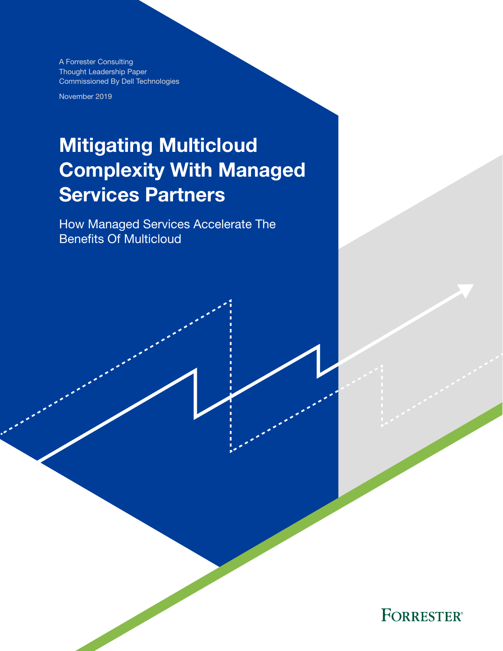A Forrester Consulting Thought Leadership Paper Commissioned By Dell Technologies

November 2019

# Mitigating Multicloud Complexity With Managed Services Partners

How Managed Services Accelerate The Benefits Of Multicloud

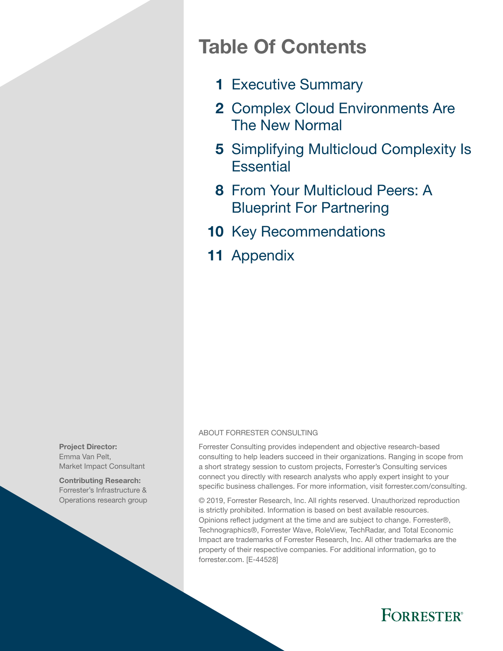## Table Of Contents

- 1 [Executive Summary](#page-2-0)
- 2 Complex Cloud Environments Are [The New Normal](#page-3-0)
- 5 Simplifying Multicloud Complexity Is **[Essential](#page-6-0)**
- 8 From Your Multicloud Peers: A [Blueprint For Partnering](#page-9-0)
- 10 [Key Recommendations](#page-11-0)
- 11 [Appendix](#page-12-0)

#### ABOUT FORRESTER CONSULTING

Forrester Consulting provides independent and objective research-based consulting to help leaders succeed in their organizations. Ranging in scope from a short strategy session to custom projects, Forrester's Consulting services connect you directly with research analysts who apply expert insight to your specific business challenges. For more information, visit forrester.com/consulting.

© 2019, Forrester Research, Inc. All rights reserved. Unauthorized reproduction is strictly prohibited. Information is based on best available resources. Opinions reflect judgment at the time and are subject to change. Forrester®, Technographics®, Forrester Wave, RoleView, TechRadar, and Total Economic Impact are trademarks of Forrester Research, Inc. All other trademarks are the property of their respective companies. For additional information, go to forrester.com. [E-44528]



Contributing Research: Forrester's Infrastructure & Operations research group

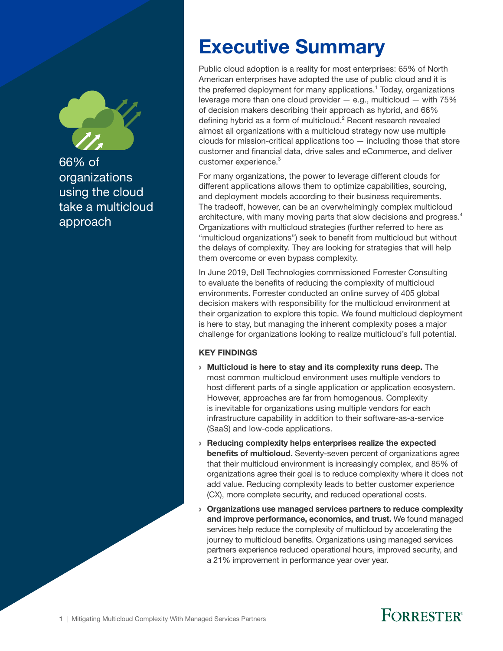<span id="page-2-0"></span>

66% of organizations using the cloud take a multicloud approach

# Executive Summary

Public cloud adoption is a reality for most enterprises: 65% of North American enterprises have adopted the use of public cloud and it is the preferred deployment for many applications.<sup>1</sup> Today, organizations leverage more than one cloud provider  $-$  e.g., multicloud  $-$  with 75% of decision makers describing their approach as hybrid, and 66% defining hybrid as a form of multicloud.<sup>2</sup> Recent research revealed almost all organizations with a multicloud strategy now use multiple clouds for mission-critical applications too — including those that store customer and financial data, drive sales and eCommerce, and deliver customer experience.<sup>3</sup>

For many organizations, the power to leverage different clouds for different applications allows them to optimize capabilities, sourcing, and deployment models according to their business requirements. The tradeoff, however, can be an overwhelmingly complex multicloud architecture, with many moving parts that slow decisions and progress.<sup>4</sup> Organizations with multicloud strategies (further referred to here as "multicloud organizations") seek to benefit from multicloud but without the delays of complexity. They are looking for strategies that will help them overcome or even bypass complexity.

In June 2019, Dell Technologies commissioned Forrester Consulting to evaluate the benefits of reducing the complexity of multicloud environments. Forrester conducted an online survey of 405 global decision makers with responsibility for the multicloud environment at their organization to explore this topic. We found multicloud deployment is here to stay, but managing the inherent complexity poses a major challenge for organizations looking to realize multicloud's full potential.

### KEY FINDINGS

- › Multicloud is here to stay and its complexity runs deep. The most common multicloud environment uses multiple vendors to host different parts of a single application or application ecosystem. However, approaches are far from homogenous. Complexity is inevitable for organizations using multiple vendors for each infrastructure capability in addition to their software-as-a-service (SaaS) and low-code applications.
- › Reducing complexity helps enterprises realize the expected benefits of multicloud. Seventy-seven percent of organizations agree that their multicloud environment is increasingly complex, and 85% of organizations agree their goal is to reduce complexity where it does not add value. Reducing complexity leads to better customer experience (CX), more complete security, and reduced operational costs.
- $\rightarrow$  Organizations use managed services partners to reduce complexity and improve performance, economics, and trust. We found managed services help reduce the complexity of multicloud by accelerating the journey to multicloud benefits. Organizations using managed services partners experience reduced operational hours, improved security, and a 21% improvement in performance year over year.

## **FORRESTER**®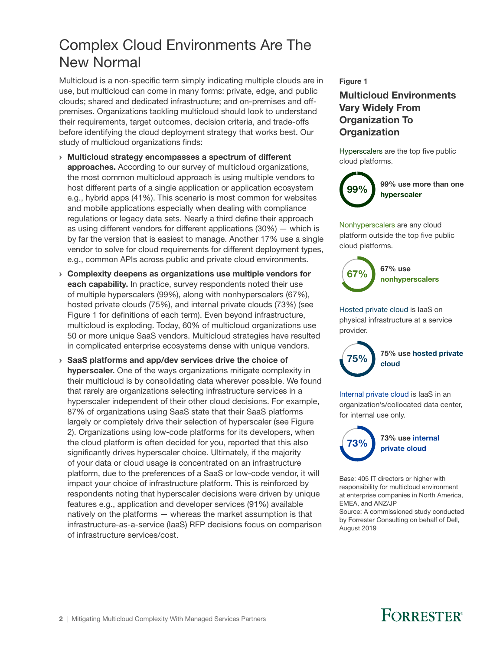## <span id="page-3-0"></span>Complex Cloud Environments Are The New Normal

Multicloud is a non-specific term simply indicating multiple clouds are in use, but multicloud can come in many forms: private, edge, and public clouds; shared and dedicated infrastructure; and on-premises and offpremises. Organizations tackling multicloud should look to understand their requirements, target outcomes, decision criteria, and trade-offs before identifying the cloud deployment strategy that works best. Our study of multicloud organizations finds:

- › Multicloud strategy encompasses a spectrum of different approaches. According to our survey of multicloud organizations, the most common multicloud approach is using multiple vendors to host different parts of a single application or application ecosystem e.g., hybrid apps (41%). This scenario is most common for websites and mobile applications especially when dealing with compliance regulations or legacy data sets. Nearly a third define their approach as using different vendors for different applications (30%) — which is by far the version that is easiest to manage. Another 17% use a single vendor to solve for cloud requirements for different deployment types, e.g., common APIs across public and private cloud environments.
- › Complexity deepens as organizations use multiple vendors for each capability. In practice, survey respondents noted their use of multiple hyperscalers (99%), along with nonhyperscalers (67%), hosted private clouds (75%), and internal private clouds (73%) (see Figure 1 for definitions of each term). Even beyond infrastructure, multicloud is exploding. Today, 60% of multicloud organizations use 50 or more unique SaaS vendors. Multicloud strategies have resulted in complicated enterprise ecosystems dense with unique vendors.
- › SaaS platforms and app/dev services drive the choice of hyperscaler. One of the ways organizations mitigate complexity in their multicloud is by consolidating data wherever possible. We found that rarely are organizations selecting infrastructure services in a hyperscaler independent of their other cloud decisions. For example, 87% of organizations using SaaS state that their SaaS platforms largely or completely drive their selection of hyperscaler (see Figure 2). Organizations using low-code platforms for its developers, when the cloud platform is often decided for you, reported that this also significantly drives hyperscaler choice. Ultimately, if the majority of your data or cloud usage is concentrated on an infrastructure platform, due to the preferences of a SaaS or low-code vendor, it will impact your choice of infrastructure platform. This is reinforced by respondents noting that hyperscaler decisions were driven by unique features e.g., application and developer services (91%) available natively on the platforms — whereas the market assumption is that infrastructure-as-a-service (IaaS) RFP decisions focus on comparison of infrastructure services/cost.

### Figure 1

### Multicloud Environments Vary Widely From Organization To **Organization**

Hyperscalers are the top five public cloud platforms.



Nonhyperscalers are any cloud platform outside the top five public cloud platforms.



Hosted private cloud is IaaS on physical infrastructure at a service provider.



75% use hosted private cloud

Internal private cloud is IaaS in an organization's/collocated data center, for internal use only.



73% use internal private cloud

Base: 405 IT directors or higher with responsibility for multicloud environment at enterprise companies in North America, EMEA, and ANZ/JP

Source: A commissioned study conducted by Forrester Consulting on behalf of Dell, August 2019

## **FORRESTER®**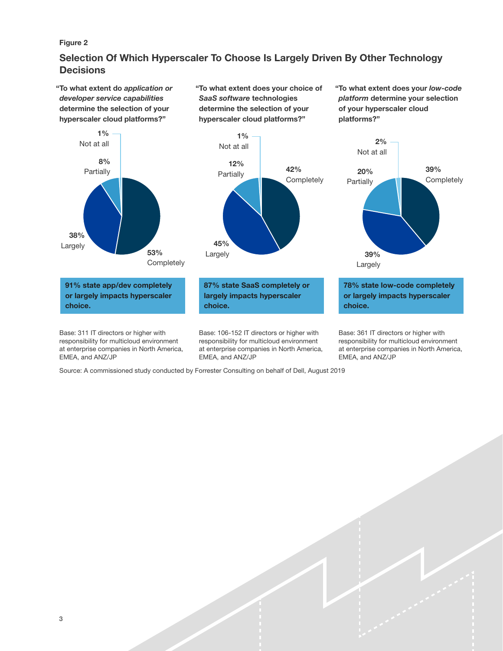#### Figure 2

### Selection Of Which Hyperscaler To Choose Is Largely Driven By Other Technology **Decisions**

"To what extent do *application or developer service capabilities* determine the selection of your hyperscaler cloud platforms?"

"To what extent does your choice of *SaaS software* technologies determine the selection of your hyperscaler cloud platforms?"

"To what extent does your *low-code platform* determine your selection of your hyperscaler cloud platforms?"

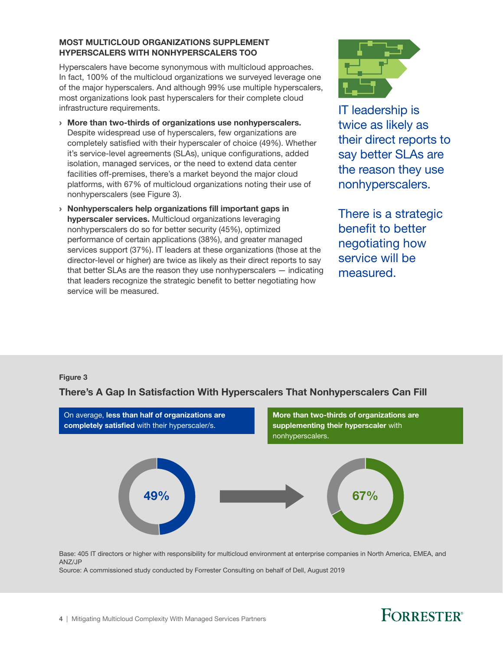#### MOST MULTICLOUD ORGANIZATIONS SUPPLEMENT HYPERSCALERS WITH NONHYPERSCALERS TOO

Hyperscalers have become synonymous with multicloud approaches. In fact, 100% of the multicloud organizations we surveyed leverage one of the major hyperscalers. And although 99% use multiple hyperscalers, most organizations look past hyperscalers for their complete cloud infrastructure requirements.

- › More than two-thirds of organizations use nonhyperscalers. Despite widespread use of hyperscalers, few organizations are completely satisfied with their hyperscaler of choice (49%). Whether it's service-level agreements (SLAs), unique configurations, added isolation, managed services, or the need to extend data center facilities off-premises, there's a market beyond the major cloud platforms, with 67% of multicloud organizations noting their use of nonhyperscalers (see Figure 3).
- › Nonhyperscalers help organizations fill important gaps in hyperscaler services. Multicloud organizations leveraging nonhyperscalers do so for better security (45%), optimized performance of certain applications (38%), and greater managed services support (37%). IT leaders at these organizations (those at the director-level or higher) are twice as likely as their direct reports to say that better SLAs are the reason they use nonhyperscalers — indicating that leaders recognize the strategic benefit to better negotiating how service will be measured.



IT leadership is twice as likely as their direct reports to say better SLAs are the reason they use nonhyperscalers.

There is a strategic benefit to better negotiating how service will be measured.

### Figure 3





Base: 405 IT directors or higher with responsibility for multicloud environment at enterprise companies in North America, EMEA, and ANZ/JP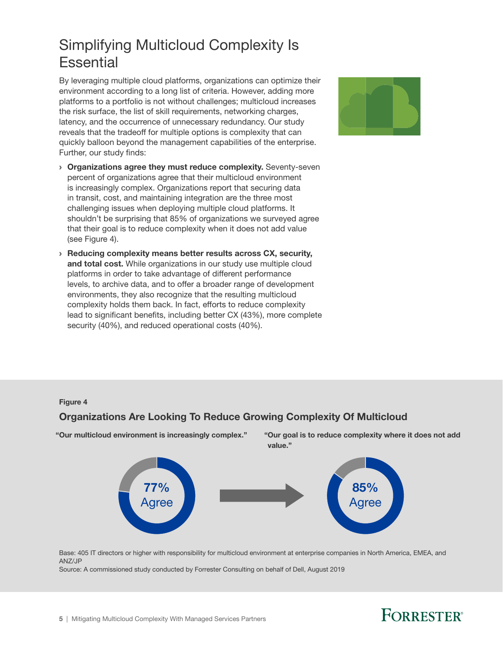## <span id="page-6-0"></span>Simplifying Multicloud Complexity Is **Essential**

By leveraging multiple cloud platforms, organizations can optimize their environment according to a long list of criteria. However, adding more platforms to a portfolio is not without challenges; multicloud increases the risk surface, the list of skill requirements, networking charges, latency, and the occurrence of unnecessary redundancy. Our study reveals that the tradeoff for multiple options is complexity that can quickly balloon beyond the management capabilities of the enterprise. Further, our study finds:

- › Organizations agree they must reduce complexity. Seventy-seven percent of organizations agree that their multicloud environment is increasingly complex. Organizations report that securing data in transit, cost, and maintaining integration are the three most challenging issues when deploying multiple cloud platforms. It shouldn't be surprising that 85% of organizations we surveyed agree that their goal is to reduce complexity when it does not add value (see Figure 4).
- › Reducing complexity means better results across CX, security, and total cost. While organizations in our study use multiple cloud platforms in order to take advantage of different performance levels, to archive data, and to offer a broader range of development environments, they also recognize that the resulting multicloud complexity holds them back. In fact, efforts to reduce complexity lead to significant benefits, including better CX (43%), more complete security (40%), and reduced operational costs (40%).



#### Figure 4

### Organizations Are Looking To Reduce Growing Complexity Of Multicloud



Base: 405 IT directors or higher with responsibility for multicloud environment at enterprise companies in North America, EMEA, and ANZ/JP

Source: A commissioned study conducted by Forrester Consulting on behalf of Dell, August 2019

## **FORRESTER**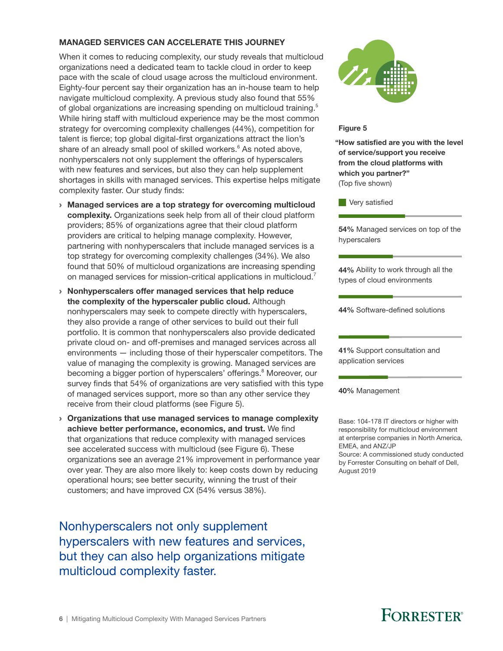### MANAGED SERVICES CAN ACCELERATE THIS JOURNEY

When it comes to reducing complexity, our study reveals that multicloud organizations need a dedicated team to tackle cloud in order to keep pace with the scale of cloud usage across the multicloud environment. Eighty-four percent say their organization has an in-house team to help navigate multicloud complexity. A previous study also found that 55% of global organizations are increasing spending on multicloud training.<sup>5</sup> While hiring staff with multicloud experience may be the most common strategy for overcoming complexity challenges (44%), competition for talent is fierce; top global digital-first organizations attract the lion's share of an already small pool of skilled workers.<sup>6</sup> As noted above, nonhyperscalers not only supplement the offerings of hyperscalers with new features and services, but also they can help supplement shortages in skills with managed services. This expertise helps mitigate complexity faster. Our study finds:

- › Managed services are a top strategy for overcoming multicloud complexity. Organizations seek help from all of their cloud platform providers; 85% of organizations agree that their cloud platform providers are critical to helping manage complexity. However, partnering with nonhyperscalers that include managed services is a top strategy for overcoming complexity challenges (34%). We also found that 50% of multicloud organizations are increasing spending on managed services for mission-critical applications in multicloud.
- › Nonhyperscalers offer managed services that help reduce the complexity of the hyperscaler public cloud. Although nonhyperscalers may seek to compete directly with hyperscalers, they also provide a range of other services to build out their full portfolio. It is common that nonhyperscalers also provide dedicated private cloud on- and off-premises and managed services across all environments — including those of their hyperscaler competitors. The value of managing the complexity is growing. Managed services are becoming a bigger portion of hyperscalers' offerings.<sup>8</sup> Moreover, our survey finds that 54% of organizations are very satisfied with this type of managed services support, more so than any other service they receive from their cloud platforms (see Figure 5).
- › Organizations that use managed services to manage complexity achieve better performance, economics, and trust. We find that organizations that reduce complexity with managed services see accelerated success with multicloud (see Figure 6). These organizations see an average 21% improvement in performance year over year. They are also more likely to: keep costs down by reducing operational hours; see better security, winning the trust of their customers; and have improved CX (54% versus 38%).

Nonhyperscalers not only supplement hyperscalers with new features and services, but they can also help organizations mitigate multicloud complexity faster.



#### Figure 5

"How satisfied are you with the level of service/support you receive from the cloud platforms with which you partner?" (Top five shown)

**Very satisfied** 

54% Managed services on top of the hyperscalers

44% Ability to work through all the types of cloud environments

44% Software-defined solutions

41% Support consultation and application services

40% Management

Base: 104-178 IT directors or higher with responsibility for multicloud environment at enterprise companies in North America, EMEA, and ANZ/JP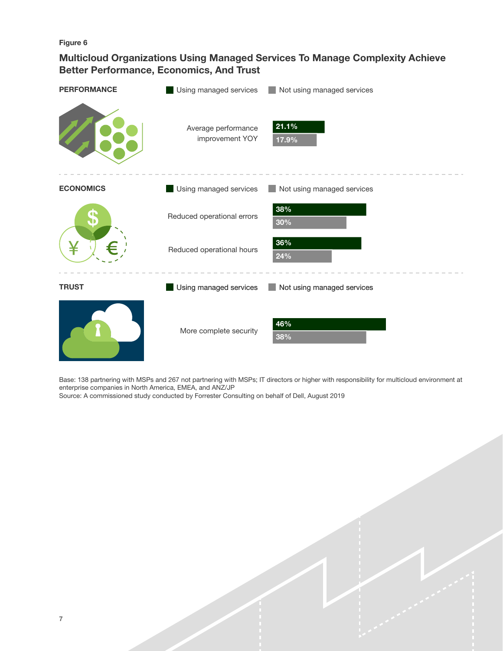Figure 6

### Multicloud Organizations Using Managed Services To Manage Complexity Achieve Better Performance, Economics, And Trust

| <b>PERFORMANCE</b> | Using managed services                 | Not using managed services<br>i s |
|--------------------|----------------------------------------|-----------------------------------|
|                    | Average performance<br>improvement YOY | 21.1%<br>17.9%                    |
| <b>ECONOMICS</b>   | Using managed services                 | Not using managed services        |
|                    | Reduced operational errors             | 38%<br>30%                        |
|                    | Reduced operational hours              | $36\%$<br>24%                     |
| <b>TRUST</b>       | Using managed services                 | Not using managed services        |
|                    | More complete security                 | 46%<br>$38\%$                     |

Base: 138 partnering with MSPs and 267 not partnering with MSPs; IT directors or higher with responsibility for multicloud environment at enterprise companies in North America, EMEA, and ANZ/JP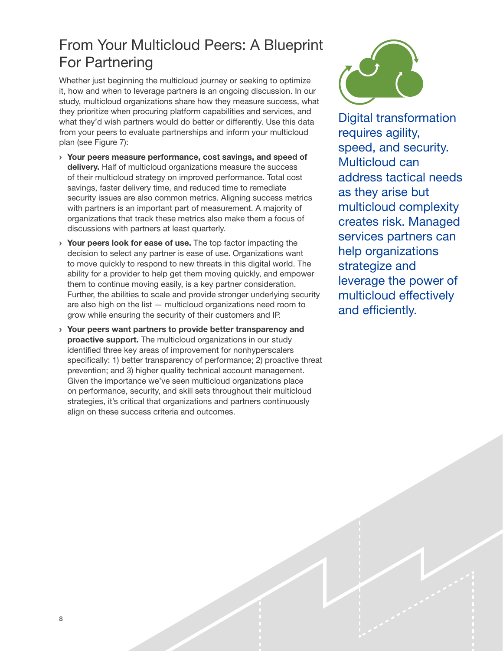## <span id="page-9-0"></span>From Your Multicloud Peers: A Blueprint For Partnering

Whether just beginning the multicloud journey or seeking to optimize it, how and when to leverage partners is an ongoing discussion. In our study, multicloud organizations share how they measure success, what they prioritize when procuring platform capabilities and services, and what they'd wish partners would do better or differently. Use this data from your peers to evaluate partnerships and inform your multicloud plan (see Figure 7):

- › Your peers measure performance, cost savings, and speed of delivery. Half of multicloud organizations measure the success of their multicloud strategy on improved performance. Total cost savings, faster delivery time, and reduced time to remediate security issues are also common metrics. Aligning success metrics with partners is an important part of measurement. A majority of organizations that track these metrics also make them a focus of discussions with partners at least quarterly.
- › Your peers look for ease of use. The top factor impacting the decision to select any partner is ease of use. Organizations want to move quickly to respond to new threats in this digital world. The ability for a provider to help get them moving quickly, and empower them to continue moving easily, is a key partner consideration. Further, the abilities to scale and provide stronger underlying security are also high on the list — multicloud organizations need room to grow while ensuring the security of their customers and IP.
- › Your peers want partners to provide better transparency and proactive support. The multicloud organizations in our study identified three key areas of improvement for nonhyperscalers specifically: 1) better transparency of performance; 2) proactive threat prevention; and 3) higher quality technical account management. Given the importance we've seen multicloud organizations place on performance, security, and skill sets throughout their multicloud strategies, it's critical that organizations and partners continuously align on these success criteria and outcomes.



Digital transformation requires agility, speed, and security. Multicloud can address tactical needs as they arise but multicloud complexity creates risk. Managed services partners can help organizations strategize and leverage the power of multicloud effectively and efficiently.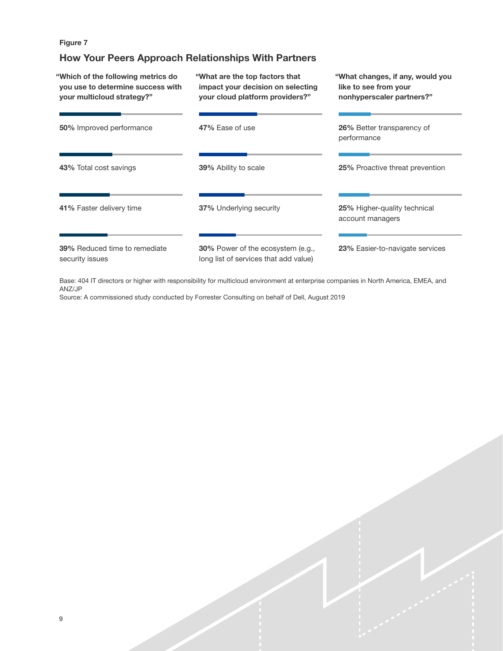### Figure 7

### How Your Peers Approach Relationships With Partners

| "Which of the following metrics do<br>you use to determine success with<br>your multicloud strategy?" | "What are the top factors that<br>impact your decision on selecting<br>your cloud platform providers?" | "What changes, if any, would you<br>like to see from your<br>nonhyperscaler partners?" |
|-------------------------------------------------------------------------------------------------------|--------------------------------------------------------------------------------------------------------|----------------------------------------------------------------------------------------|
| 50% Improved performance                                                                              | 47% Ease of use                                                                                        | 26% Better transparency of<br>performance                                              |
| 43% Total cost savings                                                                                | <b>39%</b> Ability to scale                                                                            | 25% Proactive threat prevention                                                        |
| 41% Faster delivery time                                                                              | <b>37%</b> Underlying security                                                                         | 25% Higher-quality technical<br>account managers                                       |
| <b>39%</b> Reduced time to remediate<br>security issues                                               | <b>30%</b> Power of the ecosystem (e.g.,<br>long list of services that add value)                      | 23% Easier-to-navigate services                                                        |

Base: 404 IT directors or higher with responsibility for multicloud environment at enterprise companies in North America, EMEA, and ANZ/JP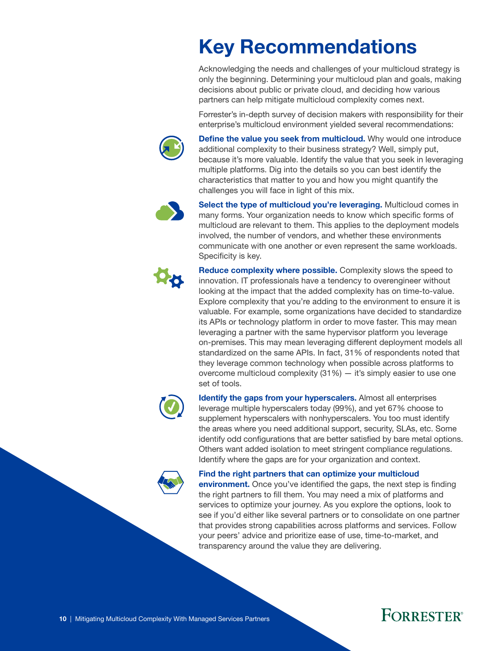# <span id="page-11-0"></span>Key Recommendations

Acknowledging the needs and challenges of your multicloud strategy is only the beginning. Determining your multicloud plan and goals, making decisions about public or private cloud, and deciding how various partners can help mitigate multicloud complexity comes next.

Forrester's in-depth survey of decision makers with responsibility for their enterprise's multicloud environment yielded several recommendations:



Define the value you seek from multicloud. Why would one introduce additional complexity to their business strategy? Well, simply put, because it's more valuable. Identify the value that you seek in leveraging multiple platforms. Dig into the details so you can best identify the characteristics that matter to you and how you might quantify the challenges you will face in light of this mix.



Select the type of multicloud you're leveraging. Multicloud comes in many forms. Your organization needs to know which specific forms of multicloud are relevant to them. This applies to the deployment models involved, the number of vendors, and whether these environments communicate with one another or even represent the same workloads. Specificity is key.



**Reduce complexity where possible.** Complexity slows the speed to innovation. IT professionals have a tendency to overengineer without looking at the impact that the added complexity has on time-to-value. Explore complexity that you're adding to the environment to ensure it is valuable. For example, some organizations have decided to standardize its APIs or technology platform in order to move faster. This may mean leveraging a partner with the same hypervisor platform you leverage on-premises. This may mean leveraging different deployment models all standardized on the same APIs. In fact, 31% of respondents noted that they leverage common technology when possible across platforms to overcome multicloud complexity  $(31\%)$  – it's simply easier to use one set of tools.



Identify the gaps from your hyperscalers. Almost all enterprises leverage multiple hyperscalers today (99%), and yet 67% choose to supplement hyperscalers with nonhyperscalers. You too must identify the areas where you need additional support, security, SLAs, etc. Some identify odd configurations that are better satisfied by bare metal options. Others want added isolation to meet stringent compliance regulations. Identify where the gaps are for your organization and context.

Find the right partners that can optimize your multicloud

**environment.** Once you've identified the gaps, the next step is finding the right partners to fill them. You may need a mix of platforms and services to optimize your journey. As you explore the options, look to see if you'd either like several partners or to consolidate on one partner that provides strong capabilities across platforms and services. Follow your peers' advice and prioritize ease of use, time-to-market, and transparency around the value they are delivering.

## **FORRESTER**®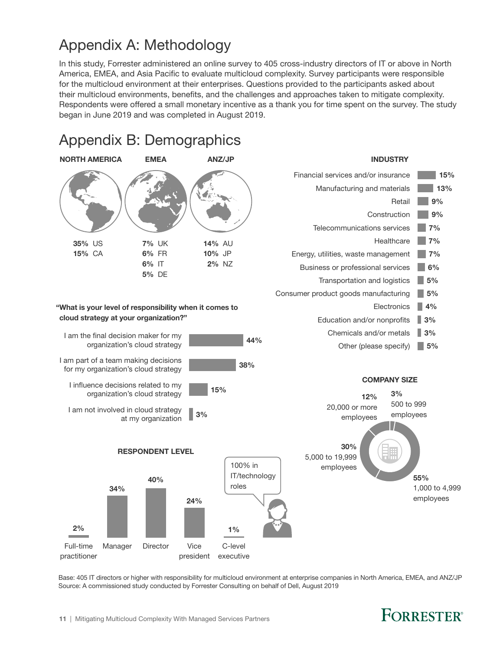## <span id="page-12-0"></span>Appendix A: Methodology

In this study, Forrester administered an online survey to 405 cross-industry directors of IT or above in North America, EMEA, and Asia Pacific to evaluate multicloud complexity. Survey participants were responsible for the multicloud environment at their enterprises. Questions provided to the participants asked about their multicloud environments, benefits, and the challenges and approaches taken to mitigate complexity. Respondents were offered a small monetary incentive as a thank you for time spent on the survey. The study began in June 2019 and was completed in August 2019.



Base: 405 IT directors or higher with responsibility for multicloud environment at enterprise companies in North America, EMEA, and ANZ/JP Source: A commissioned study conducted by Forrester Consulting on behalf of Dell, August 2019